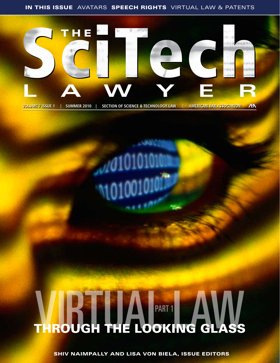IN THIS ISSUE AVATARS SPEECH RIGHTS VIRTUAL LAW & PATENTS



**VOLUME 7 ISSUE 1 | SUMMER 2010 | SECTION OF SCIENCE & TECHNOLOGY LAW | AMERICAN BAR ASSOCIATION ARY** 

# **VIBTIM PART 1 4 W**

SHIV NAIMPALLY AND LISA VON BIELA, ISSUE EDITORS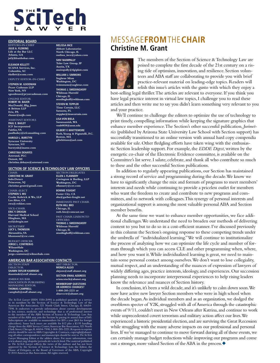### **SciTech**

### **Editorial Board**

Editors-in-Chief **Julie A. Fleming Life at the Bar LLC Atlanta, GA jaf@lifeatthebar.com**

**Eleanor Kellett SCANA Services, Inc. Columbia, SC ekellett@scana.com**

Deputy Editor-in-Chief

**Stephen M. Goodman Pryor Cashman LLP New York, NY sgoodman@pryorcashman.com**

Online Editor **Robert M. Bauer MacDonald, Illig, Jones & Britton LLP Erie, PA rbauer@mijb.com**

Assistant Editors **Paul E. Bailey ICF Incorporated Fairfax, VA paulbailey@icfconsulting.com Harold L. Burstyn Syracuse University Syracuse, NY**

**burstynh@iname.com Christina DeHayes**

**Asterand, PLC Detroit, MI christina.dehayes@asterand.com**

### **Section of science & technology law officers**

**CHAIR Christine M. Grant InfecDetect Princeton, NJ christine.grant@gmail.com** Chair-Elect

**stephen s. wu Cooke Kobrick & Wu, LLP Los Altos, CA swu@cwklaw.com**

Vice-Chair **eric y. drogin Harvard Medical School Hingham, MA**

**eyd@drogin.net SECRETARY** 

**lucy l. thomson Alexandria, VA lthomson2@csc.com**

Budget Officer **Jorge L. Contreras WilmerHale Washington, DC jorge.contreras@wilmerhale.com**

### **american bar association contacts**

SECTION STAFF DIRECTOR **Shawn Taylor Kaminski skaminski@staff.abanet.org** American Bar

Association Publishing Managing Editor **THOMAS CAMPRELL campbelt@staff.abanet.org**

**Melissa Ince Abbott Laboratories North Chicago, IL melissa\_ince@yahoo.com Shiv Naimpally Toler Law Group, IP Austin, TX snaimpally@tlgiplaw.com**

**William J. Simmons Sughrue Mion Washington, DC wsimmons@sughrue.com**

**Thomas J. Smedinghoff Wildman Harrold Chicago, IL smedinghoff@wildman.com STEVEN W. TEPPLER Time Certain, LLC Sarasota, FL steppler@timecertain.com LISA VON BIELA Sammamish, WA vonb0038@umn.edu Gilbert F. Whittemore Rath, Young & Pignatelli, P.C. Boston, MA gilwhittem@aol.com**

SECTION D<br>**Ellen J. Flan Covington & Burling, LLP Washington, DC eflannery@cov.com Bonnie Fought Foster City, CA aba@garber-fought.net** Immediate Past Chair **ruth hill bro Chicago, IL ruth.bro@comcast.net** Past Chair Liaison to **OFFICERS Thomas J. Smedinghoff**

> **Wildman Harrold Chicago, IL smedinghoff@wildman.com**

### message**from**the**chair Christine M. Grant**



The members of the Section of Science & Technology Law are poised to complete the first decade of the 21st century on a rising tide of optimism, innovation, and resilience. Section volunteers and ABA staff are collaborating to provide you with brief practice-relevant material on leading-edge topics. Readers will relish this issue's articles with the gusto with which they enjoy a

best-selling legal thriller. The articles are relevant to everyone. If you think you have legal practice interest in virtual law topics, I challenge you to read these articles and then write me to say you didn't learn something very relevant to you and your practice.

We'll continue to challenge the editors to optimize the use of technology to print timely, compelling information while keeping the signature graphics that enhance member experience. The Section's other successful publication, *Jurimetrics* (published by Arizona State University Law School with Section support) has successfully transitioned to an online version with annual hard copy compendia available for sale. Other fledgling efforts have taken wing with the enthusiastic Section leadership support. For example, the *EDDE Digest*, written by the energetic co-chair of the Electronic Evidence committee, is available on the Committee's list serve. I salute, celebrate, and thank all who contribute so much to these and the other successful Section publications.

In addition to regularly appearing publications, our Section has maintained a strong record of service and programming during the decade. We know we have to significantly change the mix and formats of programs to meet members' interests and needs while continuing to provide a priceless outlet for members who want the freedom to create and contribute to new programs and committees, and to network with colleagues. This synergy of personal interests and organizational support is among the most valuable personal ABA and Section member benefits.

At the same time we want to enhance member opportunities, we face additional challenges. We understand the need to broaden our methods of delivering content to you but to do so in a cost-efficient manner. I've discussed previously in this column the Section's ongoing response to these competing trends under the umbrella of "individualized learning." We will continue to institutionalize the process of analyzing how we can optimize the life cycle and number of formats through which you can access CLE and other programming when, where, and how you want it. While individualized learning is great, we need to maintain some personal contact among ourselves. We don't want to lose collegiality, mutual respect, and an understanding of the nuances of expression of lawyers of widely differing ages, practice interests, ideology, and experiences. Our succession planning needs to incorporate interpersonal experiences to help rising leaders know the relevance and nuances of Section history.

In conclusion, it's been a wild decade, and it's unlikely to calm down soon. We now have active new lawyer Section members who were in high school when the decade began. As individual members and as an organization, we dodged the overblown specter of Y2K, struggled with all of America through the catastrophic events of 9/11, couldn't meet in New Orleans after Katrina, and continue to work while unprecedented covert terrorism and military action affect our lives. We experienced a historic presidential election, and are surviving the Great Recession while struggling with the many adverse impacts on our professional and personal lives. If we've managed to continue to move forward during all of these events, we can certainly manage budget reductions while improving our programs and come out a stronger, more valued Section of the ABA in the process.  $\blacklozenge$ 

Art Director **monica alejo alejom@staff.abanet.org Section EMail Address sciencetech@abanet.org Membership questions or address changes? 1-800-285-2221 or abasvcctr@abanet.org**

*The SciTech Lawyer* (ISSN 1550-2090) is published quarterly as a service to its members by the Section of Science & Technology Law of the American Bar Association, 321 North Clark Street, Chicago, IL 60654- 7598. It endeavors to provide information about current developments in law, science, medicine, and technology that is of professional interest to the members of the ABA Section of Science & Technology Law. Any member of the ABA may join the Section by paying its annual dues of \$45. Subscriptions are available to nonmembers for \$55 a year (\$65 for foreign subscribers). Some back issues are available for \$12 plus a \$3.95 handling<br>charge from the ABA Service Center, American Bar Association, 321 North<br>Clark Street, Chicago, IL 60654-7598; 1-800-285-2221. Requests to reprint articles should be sent to ABA Copyrights & Contracts, copyright@abanet.<br>Org, all other correspondence and manuscripts should be sent to *The SciTeh*<br>*Lawyer* Managing Editor at the address above. For more information, vis approved by the Section of Science & Technology Law, the Editor, the House of Delegates, or the Board of Governors of the ABA. Copyright © 2010 American Bar Association. All rights reserved.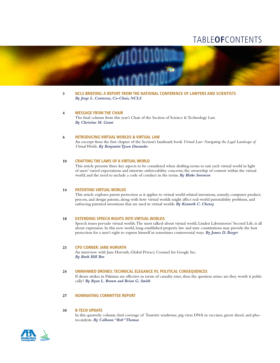### table**of**contents



**3 NCLS Briefing: A Report From the National Conference of Lawyers and Scientists** *By Jorge L. Contreras, Co-Chair, NCLS*

### **4 Message From the Chair**

The final column from this year's Chair of the Section of Science & Technology Law. *By Christine M. Grant*

### **6 Introducing Virtual Worlds & Virtual Law**

An excerpt from the first chapter of the Section's landmark book *Virtual Law: Navigating the Legal Landscape of Virtual Worlds*. *By Benjamin Tyson Duranske*

### **10 Crafting the Laws of a Virtual World**

This article presents three key aspects to be considered when drafting terms to suit each virtual world in light of users' varied expectations and interests: enforceability concerns; the ownership of content within the virtual world; and the need to include a code of conduct in the terms. *By Blake Sorensen*

### **14 Patenting Virtual Worlds**

This article explores patent protection as it applies to virtual world-related inventions, namely, computer product, process, and design patents, along with how virtual worlds might affect real-world patentability problems, and enforcing patented inventions that are used in virtual worlds. *By Kenneth C. Cheney*

### **18 Extending Speech Rights Into Virtual Worlds**

Speech issues pervade virtual worlds. The most talked-about virtual world, Linden Laboratories' Second Life, is all about expression. In this new world, long-established property law and state constitutions may provide the best protection for a user's right to express himself in sometimes controversial ways. *By James D. Barger*

### **23 CPO CORNER: JANE HORVATH**

An interview with Jane Horvath, Global Privacy Counsel for Google Inc. *By Ruth Hill Bro*

### **24 Unmanned Drones: Technical Elegance vs. Political Consequences**

If drone strikes in Pakistan are effective in terms of casualty rates, then the question arises: are they worth it politically? *By Ryan L. Brown and Brian G. Smith*

### **27 Nominating Committee Report**

### **30 B-Tech Update**

In this quarterly column, find coverage of Tourette syndrome, pig virus DNA in vaccines, green diesel, and photocatalysts. *By Calhoun "Reb" Thomas*

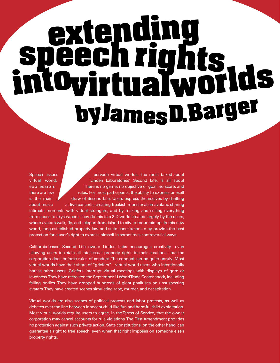## **extending speechrights intovirtualworlds byJamesD.Barger**

Speech issues **pervade virtual worlds.** The most talked-about virtual world, Linden Laboratories' Second Life, is all about expression. There is no game, no objective or goal, no score, and there are few rules. For most participants, the ability to express oneself is the main draw of Second Life. Users express themselves by chatting about music at live concerts, creating freakish monster-alien avatars, sharing intimate moments with virtual strangers, and by making and selling everything from shoes to skyscrapers. They do this in a 3-D world created largely by the users, where avatars walk, fly, and teleport from island to city to mountaintop. In this new world, long-established property law and state constitutions may provide the best protection for a user's right to express himself in sometimes controversial ways.

California-based Second Life owner Linden Labs encourages creativity—even allowing users to retain all intellectual property rights in their creations—but the corporation does enforce rules of conduct. The conduct can be quite unruly. Most virtual worlds have their share of "griefers"—virtual world users who intentionally harass other users. Griefers interrupt virtual meetings with displays of gore or lewdness. They have recreated the September 11 World Trade Center attack, including falling bodies. They have dropped hundreds of giant phalluses on unsuspecting avatars. They have created scenes simulating rape, murder, and decapitation.

Virtual worlds are also scenes of political protests and labor protests, as well as debates over the line between innocent child-like fun and harmful child exploitation. Most virtual worlds require users to agree, in the Terms of Service, that the owner corporation may cancel accounts for rule violations. The First Amendment provides no protection against such private action. State constitutions, on the other hand, can guarantee a right to free speech, even when that right imposes on someone else's property rights.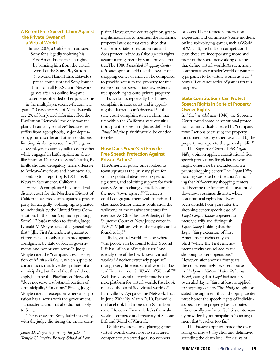### **A Recent Free Speech Claim Against the Private Owner of a Virtual World**

In late 2009, a California man sued Sony for allegedly violating his First Amendment speech rights by banning him from the virtual world of the Sony PlayStation Network. Plaintiff Erik Estavillo's pro se complaint said Sony banned him from all PlayStation Network games after his online, in-game

statements offended other participants in the multiplayer, science-fiction, war game "Resistance: Fall of Man." Estavillo, age 29, of San Jose, California, called the PlayStation Network "the only way the plaintiff can truly socialize" because he suffers from agoraphobia, major depression, panic disorder and other conditions limiting his ability to socialize. The game allows players to audibly talk to each other while engaged in battle against an alienlike invasion. During the game's battles, Estavillo shouted derogatory terms offensive to African-Americans and homosexuals, according to a report by KTXL Fox40 News in Sacramento, California.1

Estavillo's complaint,<sup>2</sup> filed in federal district court for the Northern District of California, asserted claims against a private party for allegedly violating rights granted to individuals by the United States Constitution. In the court's opinion granting Sony's 12(b)(6) motion to dismiss, Judge Ronald M. Whyte stated the general rule that "[t]he First Amendment guarantee of free speech is only a guarantee against abridgment by state or federal governments, and not private actors."3 Judge Whyte cited the "company town" exception of *Marsh v. Alabama*, which applies to corporations that have the qualities of a municipality, but found that this did not apply, because the PlayStation Network "does not serve a substantial portion of a municipality's functions." Finally, Judge Whyte cited an exception where a corporation has a nexus with the government, a characterization that also did not apply to Sony.

The case against Sony failed miserably, with the judge dismissing the entire com-

*James D. Barger is pursuing his J.D. at Temple University Beasley School of Law.*

plaint. However, the court's opinion, granting dismissal, fails to mention the landmark property law case that established that California's state constitution can and does protect individuals' free speech rights against infringement by some private entities. The 1980 *PruneYard Shopping Center v. Robins* opinion held that the owner of a shopping center or mall can be compelled to provide access to the property for free expression purposes, if state law extends free speech rights onto private property.

Estavillo has reportedly filed a new complaint in state court and is appealing the district court's dismissal.4 If the state court complaint states a claim that fits within the California state constitution's grant of speech rights, as defined in *PruneYard*, the plaintiff would be entitled to relief.

### **How Does** *PruneYard* **Provide Free Speech Protection Against Private Actors?**

The American public once looked to town squares as the primary place for voicing political ideas, seeking petition signatures, and soliciting support for their causes. As times changed, malls became the new "town squares."5 Teenagers could congregate there with friends and classmates. Senior citizens could stroll the walkways of the massive structures for exercise. As Chief Justice Wilentz, of the Supreme Court of New Jersey, wrote in 1994, "[M]alls are where the people can be found today."6

Today, virtual worlds are also where "the people can be found today." Second Life has millions of regular users<sup>7</sup> and is easily one of the best known virtual worlds.<sup>8</sup> Another extremely popular,<sup>9</sup> though very different, virtual world is Blizzard Entertainment's "World of Warcraft."10 Web-based social networks may be the next platform for virtual worlds. Facebook released the simplified virtual world of Farmville, by Zynga Game Network, Inc., in June 2009. By March 2010, Farmville on Facebook had more than 83 million users. However, Farmville lacks the realworld commerce and creativity of Second Life and World of Warcraft.

Unlike traditional role-playing games, virtual worlds often have no structured competition, no stated goal, no winners

or losers. There is merely interaction, expression and commerce. Some modern, online, role-playing games, such as World of Warcraft, are built on competition, but even these are incorporating more and more of the social networking qualities that define virtual worlds. As such, many commentators consider World of Warcrafttype games to be virtual worlds as well.<sup>11</sup> Sony's Resistance series of games fits this category.

### **State Constitutions Can Protect Speech Rights in Spite of Property Owner Rights**

In *Marsh v. Alabama* (1946), the Supreme Court found some constitutional protection for individuals affected by "company town" actions because a) the property functioned like any other town, and b) the property was open to the general public.<sup>12</sup>

The Supreme Court's 1968 *Logan Valley* opinion applied constitutional free speech protections for picketers who might otherwise be excluded from a private shopping center. The *Logan Valley* holding was based on the court's finding that 20<sup>th</sup>-century shopping centers had become the functional equivalent of downtown business districts, where constitutional rights had always been upheld. Four years later, the shopping center speech case of *Lloyd Corp. v. Tanner* appeared to merely clarify and distinguish *Logan Valley*, holding that the *Logan Valley* extension of First Amendment rights only applied "where the First Amendment activity was related to the shopping center's operations." However, after another four years, the court seemingly reversed course in *Hudgens v. National Labor Relations Board*, stating that *Lloyd* had actually overruled *Logan Valley*, at least as applied to shopping centers. The *Hudgens* opinion stated the argument that a shopping center must honor the speech rights of individuals because the property has attributes "functionally similar to facilities customarily provided by municipalities" is an argument that "reaches too far."

The *Hudgens* opinion made the overruling of *Logan Valley* clear and definitive, sounding the death knell for claims of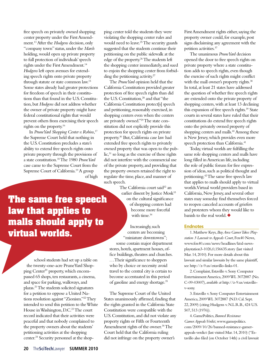free speech on privately owned shopping center property under the First Amendment.13 After the *Hudgens* decision, only "company town" status, under the *Marsh* holding, would open up private property to full protection of individuals' speech rights under the First Amendment.<sup>14</sup> *Hudgens* left open avenues for extending speech rights onto private property through statute or state common law.15 Some states already had greater protections for freedom of speech in their constitutions than that found in the U.S. Constitution, but *Hudgens* did not address whether the owner of private property might have federal constitutional rights that would prevent others from exercising their speech rights on the property.16

In *PruneYard Shopping Center v. Robins*, 17 the Supreme Court held that nothing in the U.S. Constitution precludes a state's ability to extend free speech rights onto private property through the provisions of a state constitution.18 The 1980 *PruneYard* case came to the Supreme Court from the Supreme Court of California.19 A group of high

ping center told the students they were violating the shopping center rules and would need to leave.25 The security guards suggested that the students continue their petitioning on the public sidewalk at the edge of the property.26 The students left the shopping center immediately, and sued to enjoin the shopping center from forbidding the petitioning activity.<sup>27</sup>

The *PruneYard* opinion held that the California Constitution provided greater protection of free speech rights than did the U.S. Constitution,<sup>28</sup> and that "the California Constitution protect[s] speech and petitioning, reasonably exercised, in shopping centers even when the centers are privately owned."29 The state constitution did not explicitly provide this protection for speech rights on private property.30 But, California case law had extended free speech rights to privately owned property that was open to the pub- $\text{lic}$ <sup>31</sup> so long as the exercise of these rights did not interfere with the commercial use of the private property, and providing that the property owners retained the right to regulate the time, place, and manner of such speech.

> The California court said<sup>32</sup> an earlier dissent by Justice Mosk<sup>33</sup> on the cultural significance of shopping centers had become more forceful with time.<sup>34</sup>

Increasingly, such centers are becoming "miniature downtowns"; some contain major department stores, hotels, apartment houses, office buildings, theatres and churches. . . . Their significance to shoppers who by choice or necessity avoid travel to the central city is certain to

become accentuated in this period of gasoline and energy shortage.35 The Supreme Court of the United

States unanimously affirmed, finding that the rights granted in the California State Constitution were compatible with the U.S. Constitution, and did not violate any property rights or Fifth or Fourteenth Amendment rights of the owner.<sup>36</sup> The Court held that the California ruling did not infringe on the property owner's

First Amendment rights either, saying the property owner could, for example, post signs disclaiming any agreement with the petition activities.37

The unanimous *PruneYard* decision opened the door to free speech rights on private property where a state constitution adds to speech rights, even though the exercise of such rights might conflict with the mall owner's property rights.<sup>38</sup> In total, at least 21 states have addressed the question of whether free speech rights are extended onto the private property of shopping centers, with at least 13 declining this expansion of free speech rights.39 State courts in several states have ruled that their constitutions do extend free speech rights onto the privately owned property of shopping centers and malls.<sup>40</sup> Among these is New Jersey, which provides even more speech protection than California.<sup>41</sup>

Today, virtual worlds are fulfilling the same role shopping centers and malls have long filled in American life, including the role of public forum for free expression of ideas, such as political thought and petitioning.42 The same free speech law that applies to malls should apply to virtual worlds. Virtual world providers based in California, New Jersey, and several other states may someday find themselves forced to reopen canceled accounts of griefers and protesters whom they would like to banish to the real world.  $\blacklozenge$ 

### **Endnotes**

1. Matthew Keys, *Bay Area Gamer Takes Playstation 3 Lawsuit to Appeals Court*, Fox40 News, www.fox40.com/news/headlines/ktxl-newsplaystation3-1026,0,156635.story (last visited Mar. 14, 2010). For more details about this lawsuit and similar lawsuits by the same plaintiff, see http://z-9.us/estavillo-links-01.

2. Complaint, Estavillo v. Sony Computer Entertainment America, 2009 WL 3072887 (No. C-09-03007), *available at* http://z-9.us/estavillov-sony.

3. Estavillo v. Sony Computer Entertainment America, 2009 WL 3072887 (N.D. Cal. Sept. 22, 2009) (citing Hudgens v. N.L.R.B., 424 U.S. 507, 513 (1976)).

4. GamePolitics, *Banned Resistance Gamer Appeals Verdict*, www.gamepolitics. com/2009/10/26/banned-resistance-gamerappeals-verdict (last visited Mar. 14, 2010) ("Estavillo also filed (on October 14th) a civil lawsuit

**The same free speech law that applies to malls should apply to virtual worlds.**

> school students had set up a table on the twenty-one-acre PruneYard Shopping Center<sup>20</sup> property, which encompassed 65 shops, ten restaurants, a cinema, and space for parking, walkways, and plazas.21 The students solicited signatures for a petition to oppose a United Nations resolution against "Zionism."22 They intended to send this petition to the White House in Washington, D.C.23 The court record indicated that their activities were peaceful and that nobody complained to the property owners about the students' petitioning activities at the shopping center.24 Security personnel at the shop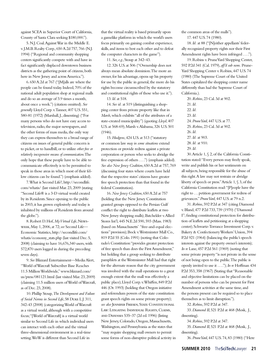against SCEA in Superior Court of California, County of Santa Clara seeking \$180,000.").

5. N.J. Coal. Against War in the Middle E. v. J.M.B. Realty Corp., 650 A.2d 757, 766 (N.J. 1994) ("Regional and community shopping centers significantly compete with and have in fact significantly displaced downtown business districts as the gathering point of citizens, both here in New Jersey and across America.").

6. 650 A.2d at 767 ("[M]alls are where the people can be found today. Indeed, 70% of the national adult population shop at regional malls and do so an average of 3.9 times a month, about once a week.") (citation omitted). *See generally* Lloyd Corp. v. Tanner, 407 U.S. 551, 580-81 (1972) (Marshall, J., dissenting) ("For many persons who do not have easy access to television, radio, the major newspapers, and the other forms of mass media, the only way they can express themselves to a broad range of citizens on issues of general public concern is to picket, or to handbill, or to utilize *other free or relatively inexpensive means of communication*. The only hope that these people have to be able to communicate effectively is to be permitted to speak in those areas in which most of their fellow citizens can be found.") (emphasis added).

7. What is Second Life?, http://secondlife. com/whatis/ (last visited Mar. 23, 2009 (stating "Second Life® is a 3-D virtual world created by its Residents. Since opening to the public in 2003, it has grown explosively and today is inhabited by millions of Residents from around the globe.").

8. Robert D. Hof, *My Virtual Life*, Newsweek,May 1, 2006, at 72; *see* Second Life— Economic Statistics, http://secondlife.com/ whatis/economy\_stats.php (last visited Dec. 5, 2008) (claiming to have 16,676,340 users, with 572,870 users logged in during the preceding seven days).

9. *See* Blizzard Entertainment—Media Alert, "World of Warcraft Subscriber Base Reaches 11.5 Million Worldwide," www.blizzard.com/ us/press/081121.html (last visited Mar. 23, 2009) (claiming 11.5 million users of World of Warcraft, as of Dec. 23, 2008).

10. Phillip Stoup, *The Development and Failure of Social Norms in Second Life*, 58 Duke L.J. 311, 342-43 (2008) (categorizing World of Warcraft as a virtual world, although with a competitive focus; "[World of Warcraft] is a virtual world similar to Second Life in which individual users can interact with each other and the virtual three-dimensional environment in a real-time setting. WoW is different than Second Life in

that the virtual reality is based primarily upon a gamelike platform in which the world's users focus primarily on gaining combat experience, skills, and items to best each other and to defeat the computer characters in the game").

11. *See, e.g.*, Stoup at 342–43.

12. 326 U.S. at 506 ("Ownership does not always mean absolute dominion. The more an owner, for his advantage, opens up his property for use by the public in general, the more do his rights become circumscribed by the statutory and constitutional rights of those who use it.").

13. *Id.* at 518.

14. *See id.* at 519 (distinguishing a shopping center from private property like that in *Marsh*, which exhibits "all of the attributes of a state-created municipality") (quoting *Lloyd*, 407 U.S. at 568-69); Marsh v. Alabama, 326 U.S. 501 (1946).

15. *Hudgens*, 424 U.S. at 513 ("statutory or common law *may in some situations* extend protection or provide redress against a private corporation or person who seeks to abridge the free expression of others . . . .") (emphasis added). *See also New Jersey Coalition*, 650 A.2d at 757, 769 (discussing four states where courts have held that the respective states' citizens have greater free speech protection than that found in the federal Constitution).

16. *New Jersey Coalition*, 650 A.2d at 757 (holding that the New Jersey Constitution granted groups opposed to the Persian Gulf conflict the right to distribute leaflets at two New Jersey shopping malls); Batchelder v. Allied Stores Int'l, 445 N.E.2d 590, 593 (Mass. 1983) (based on Massachusetts' "free-and-equal elections" provision); Bock v. Westminster Mall Co., 819 P.2d 55 (Colo. 1991) (noting that Colorado's Constitution "provides greater protection of free speech than does the First Amendment," but holding that a group seeking to distribute pamphlets at the Westminster Mall had that right for the alternate reason that the city government was involved with the mall operations to a great enough extent that the mall was effectively a public place); Lloyd Corp. v. Whiffen, 849 P.2d 446 (Or. 1993) (holding that Oregon initiative and referendum powers of the state constitution grant speech rights on some private property); *see also* Jennifer Friesen, State Constitutional Law: Litigating Individual Rights, Claims, and Defenses 535–37 (2d ed. 1996) (listing New Jersey, Colorado, Oregon, Massachusetts, Washington, and Pennsylvania as the states that "may require shopping mall owners to permit some forms of non-disruptive political activity in the common areas of the malls").

17. 447 U.S. 74 (1980).

18. *Id.* at 88 ("[N]either appellants' federally recognized property rights nor their First Amendment rights have been infringed . . . .").

19. Robins v. PruneYard Shopping Center, 592 P.2d 341 (Cal. 1979), *aff'd sub nom.* Prune-Yard Shopping Center v. Robins, 447 U.S. 74 (1980) (The Supreme Court of the United States capitalized the shopping center name differently than had the Supreme Court of California.).

20. *Robins*, 23 Cal. 3d at 902. 21. *Id.* 22. *Id.* 23. *Id.* 24. *PruneYard*, 447 U.S. at 77. 25. *Robins*, 23 Cal. 3d at 902. 26. *Id.* 27. *Id.* at 903. 28. *Id.* at 910. 29. *Id.*

30. Article 1, § 2, of the California Constitution stated: "Every person may freely speak, write and publish his or her sentiments on all subjects, being responsible for the abuse of this right. A law may not restrain or abridge liberty of speech or press." Article 1, § 3, of the California Constitution read: "[P]eople have the right to . . . petition government for redress of grievances." *PruneYard*, 447 U.S. at 79 n.2.

31. *Robins*, 592 P.2d at 347 (citing Diamond v. Bland, 477 P.2d 733, 739 (1970) ("Diamond I"; finding constitutional protection for distribution of leaflets and petitioning at a shopping center); Schwartz-Torrance Investment Corp. v. Bakery & Confectionery Workers' Union, 394 P.2d 921 (1964) (balancing the public's speech interests against the property owner's interests); *In re* Lane, 457 P.2d 561 (1969) (noting that some private property "is not private in the sense of not being open to the public. The public is openly invited to use it . . . ."); *In re* Hoffman 434 P.2d 353, 358 (1967) (Stating that "Reasonable and objective limitations can be placed on the number of persons who can be present for First Amendment activities at the same time, and the persons present can be required so to place themselves as to limit disruption.").

32. *Robins*, 592 P.2d at 347.

33. *Diamond II*, 521 P.2d at 468 (Mosk, J., dissenting).

34. *Robins*, 592 P.2d at 347.

35. *Diamond II*, 521 P.2d at 468 (Mosk, J., dissenting).

36. *PruneYard*, 447 U.S. 74, 83 (1980) ("Here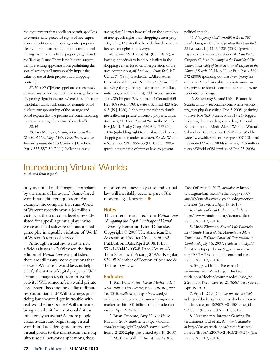the requirement that appellants permit appellees to exercise state-protected rights of free expression and petition on shopping center property clearly does not amount to an unconstitutional infringement of appellants' property rights under the Taking Clause. There is nothing to suggest that preventing appellants from prohibiting this sort of activity will unreasonably impair the value or use of their property as a shopping center.").

37. *Id*. at 87 ("[H]ere appellants can expressly disavow any connection with the message by simply posting signs in the area where the speakers or handbillers stand. Such signs, for example, could disclaim any sponsorship of the message and could explain that the persons are communicating their own messages by virtue of state law."). 38. *Id.*

39. Josh Mulligan, *Finding a Forum in the Simulated City: Mega Malls, Gated Towns, and the*  Promise of PruneYard, 13 CORNELL J.L. & PUB. Pol'y 533, 557–59 (2004) (collecting cases;

stating that 21 states have ruled on the extension of free speech rights onto shopping center property; listing 13 states that have declined to extend free speech rights in this way).

40. *Robins*, 592 P.2d at 341 (Cal. 1979) (allowing individuals to hand out leaflets in the shopping center, based on interpretation of the state constitution), *aff'd sub nom. PruneYard*, 447 U.S. at 74 (1980); Batchelder v. Allied Stores International, Inc., 445 N.E.2d 590 (Mass. 1983) (allowing the gathering of signatures for ballots, initiatives, or referendums); Alderwood Associates v. Washington Environmental Council, 635 P.2d 108 (Wash. 1981); State v. Schmid, 423 A.2d 615 (N.J. 1980) (upholding the right to distribute leaflets on private university property, under state law); N.J. Coal. Against War in the Middle E. v. J.M.B. Realty Corp., 650 A.2d 757 (N.J. 1994) (upholding right to distribute leaflets in a shopping center, under state law). *See also* Wood v. State, 2003 WL 1955433 (Fla. Cir. Ct. 2003) (precluding the use of trespass laws to prevent

political speech).

41. *New Jersey Coalition*, 650 A.2d at 757; *see also* Gregory C. Sisk, *Uprooting the PruneYard*, 38 Rutgers L.J. 1145, 1205 (2007) (providing an extensive policy critique of *PruneYard*); Gregory C. Sisk, *Returning to the PruneYard: The Unconstitutionality of State-Sanctioned Trespass in the Name of Speech,* 32 Harv. J.L. & Pub. Pol'y 389, 392 (2009) (pointing out that New Jersey has extended *PruneYard* rights to private universities, private residential communities, and private residential buildings).

42. *See generally* Second Life—Economic Statistics, http://secondlife.com/whatis/economy\_stats.php (last visited Dec. 5, 2008) (claiming to have 16,676,340 users, with 517,237 logged in during the preceding seven days); Blizzard Entertainment—Media Alert, "World of Warcraft Subscriber Base Reaches 11.5 Million Worldwide," www.blizzard.com/us/press/081121.html (last visited Mar. 23, 2009) (claiming 11.5 million users of World of Warcraft, as of Dec. 23, 2008).

### Introducing Virtual Worlds

*continued from page 9*

only identified in the original complaint by the name of his avatar.<sup>7</sup> Game-based worlds raise different questions. For example, the company that runs World of Warcraft recently won a \$6 million victory at the trial court level (presently slated for appeal) against a player who wrote and sold software that automated game play in arguable violation of World of Warcraft's terms of service.8

Although virtual law is not as new a field as it was in 2008 when the first edition of *Virtual Law* was published, there are still many more questions than answers. Will a real-world lawsuit help clarify the status of digital property? Will criminal charges result from in-world activity? Will someone's in-world private legal system become the de facto dispute resolution standard? Will attorneys practicing law in-world get in trouble with real-world ethics bodies? Will someone bring a civil suit for emotional distress inflicted by an avatar? As more people create avatars and begin using virtual worlds, and as video games introduce virtual goods to the mainstream via ubiquitous social network applications, these

questions will inevitably arise, and virtual law will inevitably become part of the modern legal landscape.  $\blacklozenge$ 

### **Notes**

This material is adapted from *Virtual Law: Navigating the Legal Landscape of Virtual Worlds* by Benjamin Tyson Duranske. Copyright © 2008 The American Bar Association. Product Code: 5450052. Publication Date: April 2008. ISBN: 978-1-60442-009-8, Page Count: 43. Trim Size: 6 x 9. Pricing: \$49.95 Regular, \$39.95 Member of Section of Science & Technology Law.

### **Endnotes**

1. Tom Ivan, *Virtual Goods Market to Hit*   $$100$  Billion This Decade, EDGE ONLINE, Apr. 16, 2010, *available at* http://www.edgeonline.com/news/hawkins-virtual-goodsmarket-to-hit-100-billion-this-decade (last visited Apr. 19, 2010).

2. Brian Crecente, *Sony Unveils Home*, March 3, 2007, *available at* http://kotaku. com/gaming/gdc07/gdc07-sony-unveilshome-242332.php (last visited Apr. 19, 2010).

3. Matthew Wall*, Virtual Worlds for Kids* 

*Take Off,* Aug. 9, 2007, *available at* http:// www.guardian.co.uk/technology/2007/ aug/09/guardianweeklytechnologysection. internet (last visited Apr. 19, 2010).

4. *Avatars of Lord Vishnu*, *available at* http://www.hindunet.org/avatars/ (last visited Apr. 19, 2010).

5. Linda Zimmer*, Second Life Entertainment Study Released: SL Accounts for More Time than All Other Forms of Entertainment Combined*, July 16, 2007, *available at* http:// freshtakes.typepad.com/sl\_communicators/2007/07/second-life-ent.html (last visited Apr. 19, 2010).

6. Bragg v. Linden Research Inc., *documents available at* http://dockets. justia.com/docket/court-paedce/case\_no-2:2006cv04925/case\_id-217858/ (last visited Apr. 19, 2010).

7. Eros LLC v. Doe., *documents available at* http://dockets.justia.com/docket/courtflmdce/case\_no-8:2007cv01158/case\_id-202603/ (last visited Apr. 19, 2010).

8. Hernandez v. Internet Gaming Entertainment, Ltd et al., *documents available at* http://news.justia.com/cases/featured/ florida/flsdce/1:2007cv21403/296927/ (last visited Apr. 19, 2010).